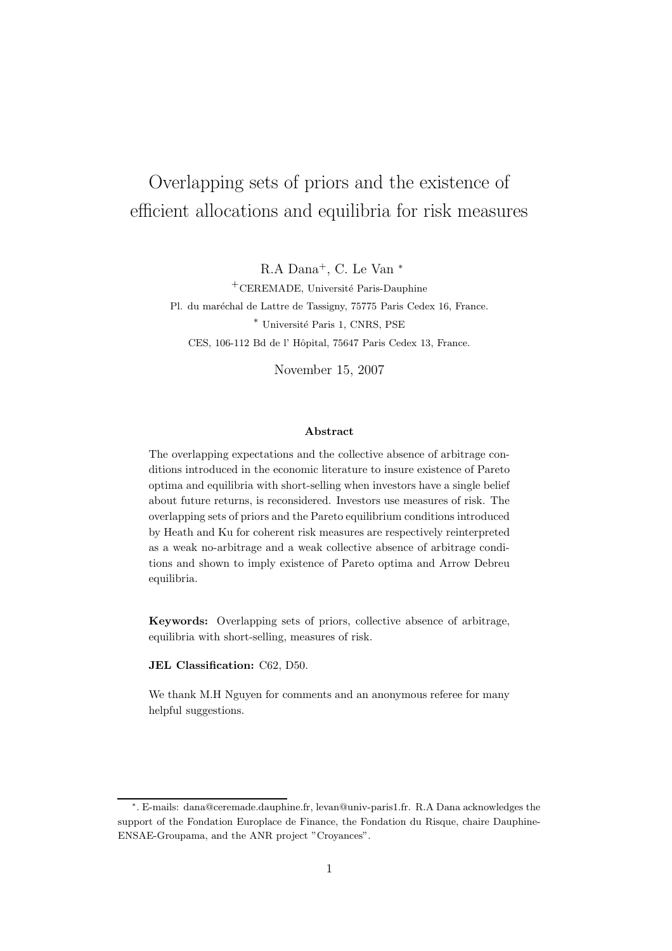# Overlapping sets of priors and the existence of efficient allocations and equilibria for risk measures

R.A Dana<sup>+</sup>, C. Le Van<sup>\*</sup>

<sup>+</sup>CEREMADE, Université Paris-Dauphine Pl. du maréchal de Lattre de Tassigny, 75775 Paris Cedex 16, France. <sup>∗</sup> Universit´e Paris 1, CNRS, PSE CES, 106-112 Bd de l' Hôpital, 75647 Paris Cedex 13, France.

November 15, 2007

## Abstract

The overlapping expectations and the collective absence of arbitrage conditions introduced in the economic literature to insure existence of Pareto optima and equilibria with short-selling when investors have a single belief about future returns, is reconsidered. Investors use measures of risk. The overlapping sets of priors and the Pareto equilibrium conditions introduced by Heath and Ku for coherent risk measures are respectively reinterpreted as a weak no-arbitrage and a weak collective absence of arbitrage conditions and shown to imply existence of Pareto optima and Arrow Debreu equilibria.

Keywords: Overlapping sets of priors, collective absence of arbitrage, equilibria with short-selling, measures of risk.

JEL Classification: C62, D50.

We thank M.H Nguyen for comments and an anonymous referee for many helpful suggestions.

<sup>∗</sup> . E-mails: dana@ceremade.dauphine.fr, levan@univ-paris1.fr. R.A Dana acknowledges the support of the Fondation Europlace de Finance, the Fondation du Risque, chaire Dauphine-ENSAE-Groupama, and the ANR project "Croyances".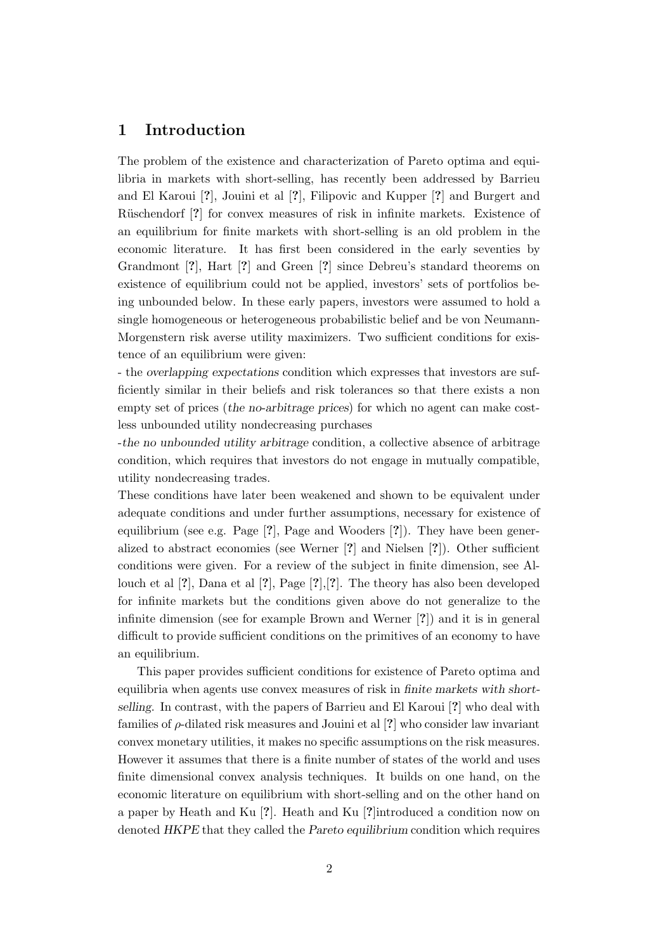# 1 Introduction

The problem of the existence and characterization of Pareto optima and equilibria in markets with short-selling, has recently been addressed by Barrieu and El Karoui [?], Jouini et al [?], Filipovic and Kupper [?] and Burgert and Rüschendorf [?] for convex measures of risk in infinite markets. Existence of an equilibrium for finite markets with short-selling is an old problem in the economic literature. It has first been considered in the early seventies by Grandmont [?], Hart [?] and Green [?] since Debreu's standard theorems on existence of equilibrium could not be applied, investors' sets of portfolios being unbounded below. In these early papers, investors were assumed to hold a single homogeneous or heterogeneous probabilistic belief and be von Neumann-Morgenstern risk averse utility maximizers. Two sufficient conditions for existence of an equilibrium were given:

- the overlapping expectations condition which expresses that investors are sufficiently similar in their beliefs and risk tolerances so that there exists a non empty set of prices (the no-arbitrage prices) for which no agent can make costless unbounded utility nondecreasing purchases

-the no unbounded utility arbitrage condition, a collective absence of arbitrage condition, which requires that investors do not engage in mutually compatible, utility nondecreasing trades.

These conditions have later been weakened and shown to be equivalent under adequate conditions and under further assumptions, necessary for existence of equilibrium (see e.g. Page [?], Page and Wooders [?]). They have been generalized to abstract economies (see Werner [?] and Nielsen [?]). Other sufficient conditions were given. For a review of the subject in finite dimension, see Allouch et al [?], Dana et al [?], Page [?],[?]. The theory has also been developed for infinite markets but the conditions given above do not generalize to the infinite dimension (see for example Brown and Werner [?]) and it is in general difficult to provide sufficient conditions on the primitives of an economy to have an equilibrium.

This paper provides sufficient conditions for existence of Pareto optima and equilibria when agents use convex measures of risk in finite markets with shortselling. In contrast, with the papers of Barrieu and El Karoui [?] who deal with families of  $\rho$ -dilated risk measures and Jouini et al  $[?]$  who consider law invariant convex monetary utilities, it makes no specific assumptions on the risk measures. However it assumes that there is a finite number of states of the world and uses finite dimensional convex analysis techniques. It builds on one hand, on the economic literature on equilibrium with short-selling and on the other hand on a paper by Heath and Ku [?]. Heath and Ku [?]introduced a condition now on denoted HKPE that they called the Pareto equilibrium condition which requires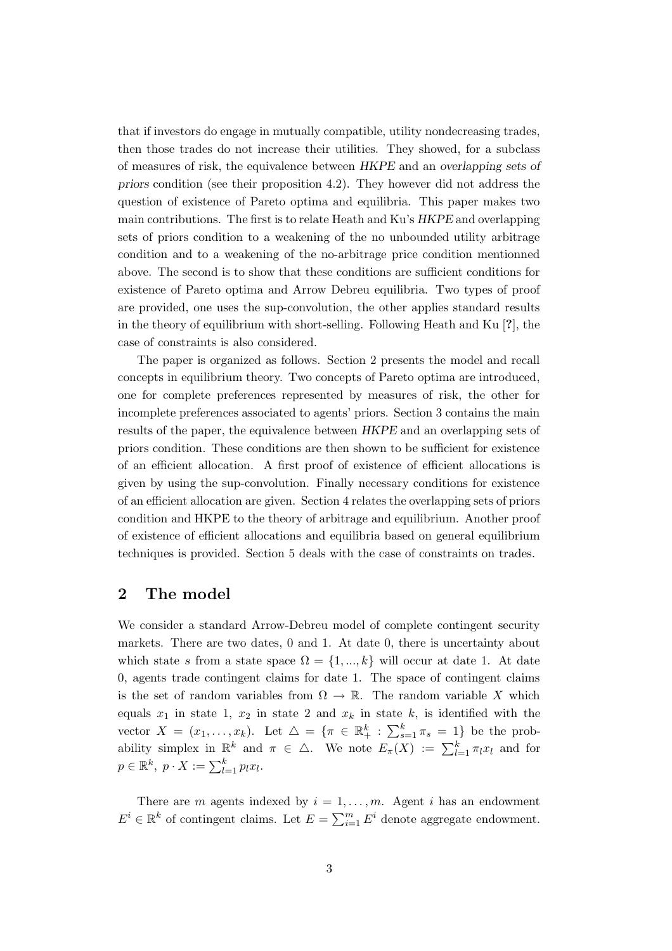that if investors do engage in mutually compatible, utility nondecreasing trades, then those trades do not increase their utilities. They showed, for a subclass of measures of risk, the equivalence between HKPE and an overlapping sets of priors condition (see their proposition 4.2). They however did not address the question of existence of Pareto optima and equilibria. This paper makes two main contributions. The first is to relate Heath and Ku's HKPE and overlapping sets of priors condition to a weakening of the no unbounded utility arbitrage condition and to a weakening of the no-arbitrage price condition mentionned above. The second is to show that these conditions are sufficient conditions for existence of Pareto optima and Arrow Debreu equilibria. Two types of proof are provided, one uses the sup-convolution, the other applies standard results in the theory of equilibrium with short-selling. Following Heath and Ku [?], the case of constraints is also considered.

The paper is organized as follows. Section 2 presents the model and recall concepts in equilibrium theory. Two concepts of Pareto optima are introduced, one for complete preferences represented by measures of risk, the other for incomplete preferences associated to agents' priors. Section 3 contains the main results of the paper, the equivalence between HKPE and an overlapping sets of priors condition. These conditions are then shown to be sufficient for existence of an efficient allocation. A first proof of existence of efficient allocations is given by using the sup-convolution. Finally necessary conditions for existence of an efficient allocation are given. Section 4 relates the overlapping sets of priors condition and HKPE to the theory of arbitrage and equilibrium. Another proof of existence of efficient allocations and equilibria based on general equilibrium techniques is provided. Section 5 deals with the case of constraints on trades.

# 2 The model

We consider a standard Arrow-Debreu model of complete contingent security markets. There are two dates, 0 and 1. At date 0, there is uncertainty about which state s from a state space  $\Omega = \{1, ..., k\}$  will occur at date 1. At date 0, agents trade contingent claims for date 1. The space of contingent claims is the set of random variables from  $\Omega \to \mathbb{R}$ . The random variable X which equals  $x_1$  in state 1,  $x_2$  in state 2 and  $x_k$  in state k, is identified with the vector  $X = (x_1, \ldots, x_k)$ . Let  $\Delta = \{ \pi \in \mathbb{R}^k_+ : \sum_{s=1}^k \pi_s = 1 \}$  be the probability simplex in  $\mathbb{R}^k$  and  $\pi \in \Delta$ . We note  $E_{\pi}(X) := \sum_{l=1}^k \pi_l x_l$  and for  $p \in \mathbb{R}^k$ ,  $p \cdot X := \sum_{l=1}^k p_l x_l$ .

There are m agents indexed by  $i = 1, \ldots, m$ . Agent i has an endowment  $E^i \in \mathbb{R}^k$  of contingent claims. Let  $E = \sum_{i=1}^m E^i$  denote aggregate endowment.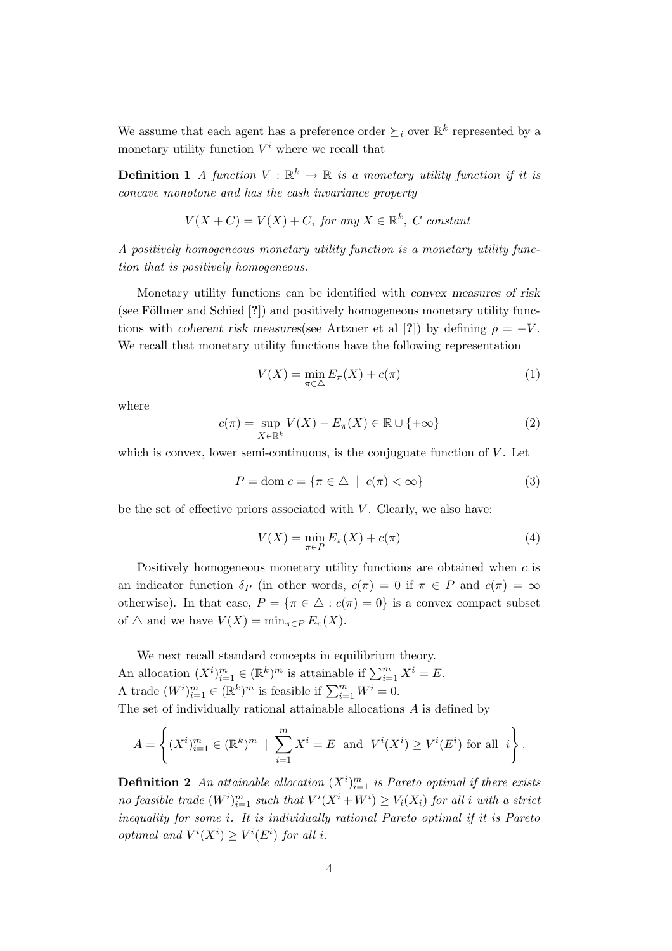We assume that each agent has a preference order  $\succeq_i$  over  $\mathbb{R}^k$  represented by a monetary utility function  $V^i$  where we recall that

**Definition 1** A function  $V : \mathbb{R}^k \to \mathbb{R}$  is a monetary utility function if it is concave monotone and has the cash invariance property

$$
V(X+C) = V(X) + C, \text{ for any } X \in \mathbb{R}^k, C \text{ constant}
$$

A positively homogeneous monetary utility function is a monetary utility function that is positively homogeneous.

Monetary utility functions can be identified with convex measures of risk (see Föllmer and Schied  $[?]$ ) and positively homogeneous monetary utility functions with coherent risk measures(see Artzner et al [?]) by defining  $\rho = -V$ . We recall that monetary utility functions have the following representation

$$
V(X) = \min_{\pi \in \triangle} E_{\pi}(X) + c(\pi)
$$
\n(1)

where

$$
c(\pi) = \sup_{X \in \mathbb{R}^k} V(X) - E_{\pi}(X) \in \mathbb{R} \cup \{ +\infty \}
$$
 (2)

which is convex, lower semi-continuous, is the conjuguate function of  $V$ . Let

$$
P = \text{dom } c = \{ \pi \in \triangle \mid c(\pi) < \infty \} \tag{3}
$$

be the set of effective priors associated with  $V$ . Clearly, we also have:

$$
V(X) = \min_{\pi \in P} E_{\pi}(X) + c(\pi)
$$
\n(4)

Positively homogeneous monetary utility functions are obtained when c is an indicator function  $\delta_P$  (in other words,  $c(\pi) = 0$  if  $\pi \in P$  and  $c(\pi) = \infty$ otherwise). In that case,  $P = {\pi \in \Delta : c(\pi) = 0}$  is a convex compact subset of  $\triangle$  and we have  $V(X) = \min_{\pi \in P} E_{\pi}(X)$ .

We next recall standard concepts in equilibrium theory. An allocation  $(X^i)_{i=1}^m \in (\mathbb{R}^k)^m$  is attainable if  $\sum_{i=1}^m X^i = E$ . A trade  $(W^i)_{i=1}^m \in (\mathbb{R}^k)^m$  is feasible if  $\sum_{i=1}^m W^i = 0$ . The set of individually rational attainable allocations A is defined by

$$
A = \left\{ (X^i)_{i=1}^m \in (\mathbb{R}^k)^m \; \mid \; \sum_{i=1}^m X^i = E \text{ and } V^i(X^i) \ge V^i(E^i) \text{ for all } i \right\}.
$$

**Definition 2** An attainable allocation  $(X^{i})_{i=1}^{m}$  is Pareto optimal if there exists no feasible trade  $(W^i)_{i=1}^m$  such that  $V^i(X^i + W^i) \geq V_i(X_i)$  for all i with a strict inequality for some i. It is individually rational Pareto optimal if it is Pareto optimal and  $V^i(X^i) \geq V^i(E^i)$  for all i.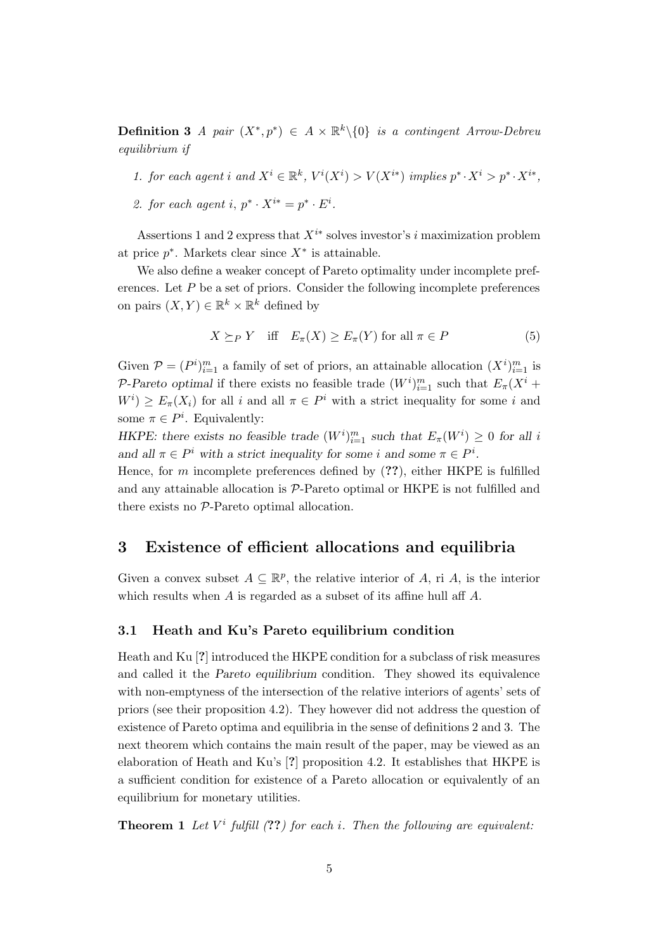**Definition 3** A pair  $(X^*, p^*) \in A \times \mathbb{R}^k \setminus \{0\}$  is a contingent Arrow-Debreu equilibrium if

1. for each agent i and  $X^i \in \mathbb{R}^k$ ,  $V^i(X^i) > V(X^{i*})$  implies  $p^* \cdot X^i > p^* \cdot X^{i*}$ ,

2. for each agent i,  $p^* \cdot X^{i*} = p^* \cdot E^i$ .

Assertions 1 and 2 express that  $X^{i*}$  solves investor's i maximization problem at price  $p^*$ . Markets clear since  $X^*$  is attainable.

We also define a weaker concept of Pareto optimality under incomplete preferences. Let  $P$  be a set of priors. Consider the following incomplete preferences on pairs  $(X, Y) \in \mathbb{R}^k \times \mathbb{R}^k$  defined by

$$
X \succeq_{P} Y \quad \text{iff} \quad E_{\pi}(X) \ge E_{\pi}(Y) \text{ for all } \pi \in P \tag{5}
$$

Given  $P = (P^i)_{i=1}^m$  a family of set of priors, an attainable allocation  $(X^i)_{i=1}^m$  is P-Pareto optimal if there exists no feasible trade  $(W^i)_{i=1}^m$  such that  $E_\pi(X^i +$  $W^i$   $\geq E_{\pi}(X_i)$  for all i and all  $\pi \in P^i$  with a strict inequality for some i and some  $\pi \in P^i$ . Equivalently:

HKPE: there exists no feasible trade  $(W^i)_{i=1}^m$  such that  $E_\pi(W^i) \geq 0$  for all i and all  $\pi \in P^i$  with a strict inequality for some i and some  $\pi \in P^i$ .

Hence, for m incomplete preferences defined by  $(??)$ , either HKPE is fulfilled and any attainable allocation is P-Pareto optimal or HKPE is not fulfilled and there exists no P-Pareto optimal allocation.

# 3 Existence of efficient allocations and equilibria

Given a convex subset  $A \subseteq \mathbb{R}^p$ , the relative interior of A, ri A, is the interior which results when A is regarded as a subset of its affine hull aff A.

## 3.1 Heath and Ku's Pareto equilibrium condition

Heath and Ku [?] introduced the HKPE condition for a subclass of risk measures and called it the Pareto equilibrium condition. They showed its equivalence with non-emptyness of the intersection of the relative interiors of agents' sets of priors (see their proposition 4.2). They however did not address the question of existence of Pareto optima and equilibria in the sense of definitions 2 and 3. The next theorem which contains the main result of the paper, may be viewed as an elaboration of Heath and Ku's [?] proposition 4.2. It establishes that HKPE is a sufficient condition for existence of a Pareto allocation or equivalently of an equilibrium for monetary utilities.

**Theorem 1** Let  $V^i$  fulfill (??) for each i. Then the following are equivalent: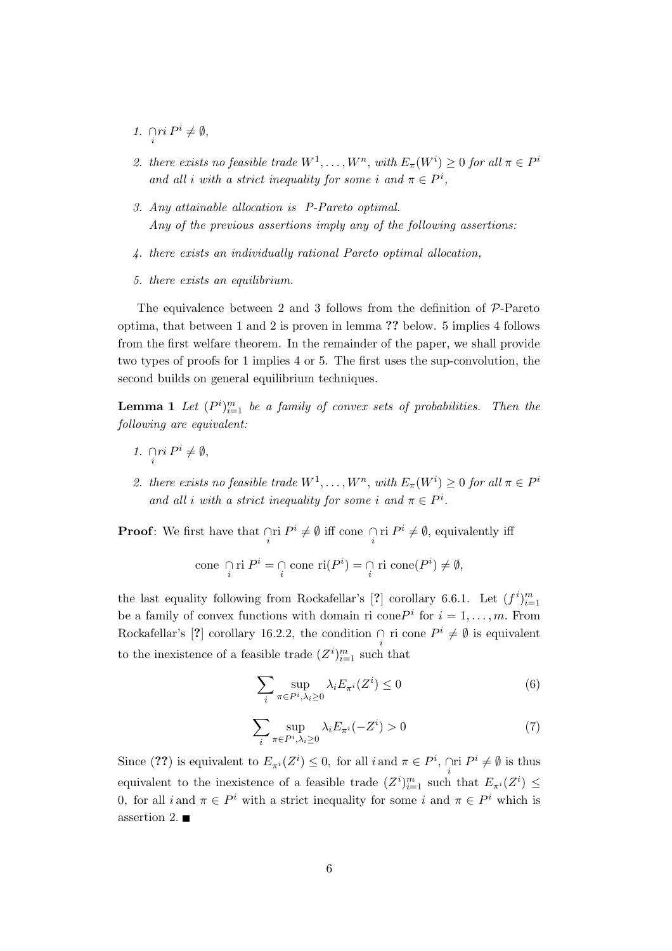- 1.  $\bigcap_{i} ri P^i \neq \emptyset$ ,
- 2. there exists no feasible trade  $W^1, \ldots, W^n$ , with  $E_\pi(W^i) \geq 0$  for all  $\pi \in P^i$ and all i with a strict inequality for some i and  $\pi \in P^i$ ,
- 3. Any attainable allocation is P-Pareto optimal. Any of the previous assertions imply any of the following assertions:
- 4. there exists an individually rational Pareto optimal allocation,
- 5. there exists an equilibrium.

The equivalence between 2 and 3 follows from the definition of  $P$ -Pareto optima, that between 1 and 2 is proven in lemma ?? below. 5 implies 4 follows from the first welfare theorem. In the remainder of the paper, we shall provide two types of proofs for 1 implies 4 or 5. The first uses the sup-convolution, the second builds on general equilibrium techniques.

**Lemma 1** Let  $(P^i)_{i=1}^m$  be a family of convex sets of probabilities. Then the following are equivalent:

- 1.  $\bigcap_{i} ri P^i \neq \emptyset$ ,
- 2. there exists no feasible trade  $W^1, \ldots, W^n$ , with  $E_\pi(W^i) \geq 0$  for all  $\pi \in P^i$ and all i with a strict inequality for some i and  $\pi \in P^i$ .

**Proof**: We first have that  $\bigcap_{i} \text{ri } P^{i} \neq \emptyset$  iff cone  $\bigcap_{i} \text{ri } P^{i} \neq \emptyset$ , equivalently iff

cone 
$$
\bigcap_{i} \text{ri } P^{i} = \bigcap_{i} \text{cone } \text{ri}(P^{i}) = \bigcap_{i} \text{ri cone}(P^{i}) \neq \emptyset
$$
,

the last equality following from Rockafellar's [?] corollary 6.6.1. Let  $(f^i)_{i=1}^m$ be a family of convex functions with domain ri cone  $P^i$  for  $i = 1, \ldots, m$ . From Rockafellar's [?] corollary 16.2.2, the condition  $\bigcap_i$  ri cone  $P^i \neq \emptyset$  is equivalent to the inexistence of a feasible trade  $(Z^i)_{i=1}^m$  such that

$$
\sum_{i} \sup_{\pi \in P^i, \lambda_i \ge 0} \lambda_i E_{\pi^i}(Z^i) \le 0
$$
 (6)

$$
\sum_{i} \sup_{\pi \in P^i, \lambda_i \ge 0} \lambda_i E_{\pi^i}(-Z^i) > 0 \tag{7}
$$

Since (??) is equivalent to  $E_{\pi^i}(Z^i) \leq 0$ , for all  $i$  and  $\pi \in P^i$ ,  $\bigcap_i \Pi^i \neq \emptyset$  is thus equivalent to the inexistence of a feasible trade  $(Z^i)_{i=1}^m$  such that  $E_{\pi^i}(Z^i) \leq$ 0, for all  $i$  and  $\pi \in P^i$  with a strict inequality for some  $i$  and  $\pi \in P^i$  which is assertion 2.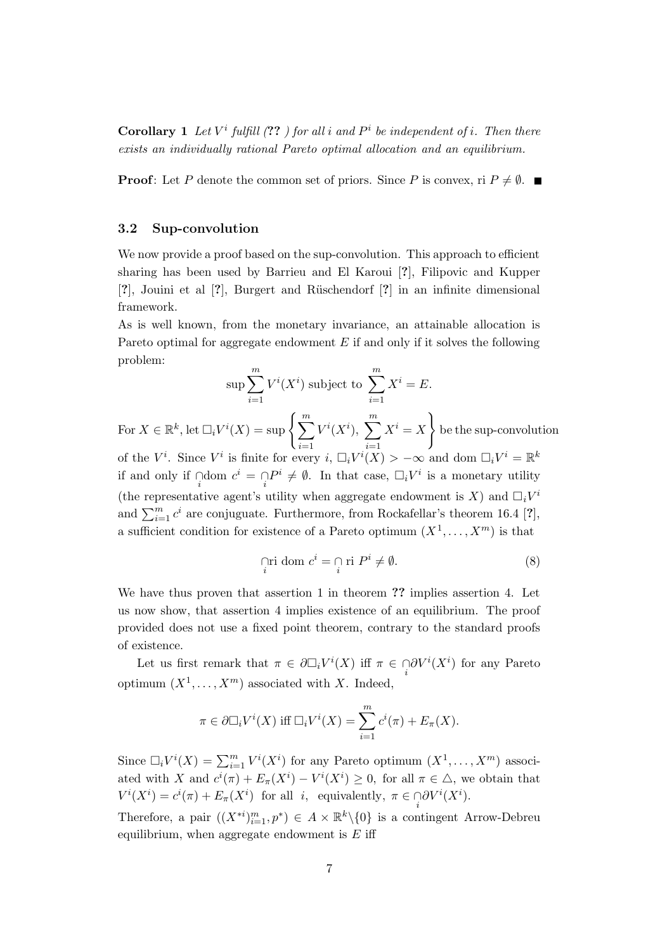**Corollary** 1 Let  $V^i$  fulfill (??) for all i and  $P^i$  be independent of i. Then there exists an individually rational Pareto optimal allocation and an equilibrium.

**Proof:** Let P denote the common set of priors. Since P is convex, ri  $P \neq \emptyset$ .

## 3.2 Sup-convolution

We now provide a proof based on the sup-convolution. This approach to efficient sharing has been used by Barrieu and El Karoui [?], Filipovic and Kupper  $[?]$ , Jouini et al  $[?]$ , Burgert and Rüschendorf  $[?]$  in an infinite dimensional framework.

As is well known, from the monetary invariance, an attainable allocation is Pareto optimal for aggregate endowment  $E$  if and only if it solves the following problem:

$$
\sup \sum_{i=1}^{m} V^i(X^i) \text{ subject to } \sum_{i=1}^{m} X^i = E.
$$

For  $X \in \mathbb{R}^k$ , let  $\Box_i V^i(X) = \sup \left\{ \sum_{i=1}^m X_i \right\}$  $i=1$  $V^i(X^i)$ ,  $\sum^m$  $i=1$  $X^i=X$  $\mathcal{L}$ be the sup-convolution of the  $V^i$ . Since  $V^i$  is finite for every  $i, \Box_i V^i(X) > -\infty$  and dom  $\Box_i V^i = \mathbb{R}^k$ if and only if  $\bigcap_{i}$  dom  $c^i = \bigcap_{i} P^i \neq \emptyset$ . In that case,  $\Box_i V^i$  is a monetary utility (the representative agent's utility when aggregate endowment is X) and  $\Box_i V^i$ and  $\sum_{i=1}^{m} c^i$  are conjuguate. Furthermore, from Rockafellar's theorem 16.4 [?], a sufficient condition for existence of a Pareto optimum  $(X^1, \ldots, X^m)$  is that

$$
\lim_{i} \text{ dom } c^{i} = \lim_{i} P^{i} \neq \emptyset. \tag{8}
$$

We have thus proven that assertion 1 in theorem ?? implies assertion 4. Let us now show, that assertion 4 implies existence of an equilibrium. The proof provided does not use a fixed point theorem, contrary to the standard proofs of existence.

Let us first remark that  $\pi \in \partial \Box_i V^i(X)$  iff  $\pi \in \bigcap_i \partial V^i(X^i)$  for any Pareto optimum  $(X^1, \ldots, X^m)$  associated with X. Indeed,

$$
\pi \in \partial \Box_i V^i(X) \text{ iff } \Box_i V^i(X) = \sum_{i=1}^m c^i(\pi) + E_{\pi}(X).
$$

Since  $\Box_i V^i(X) = \sum_{i=1}^m V^i(X^i)$  for any Pareto optimum  $(X^1, \ldots, X^m)$  associated with X and  $c^{i}(\pi) + E_{\pi}(X^{i}) - V^{i}(X^{i}) \geq 0$ , for all  $\pi \in \Delta$ , we obtain that  $V^i(X^i) = c^i(\pi) + E_{\pi}(X^i)$  for all *i*, equivalently,  $\pi \in \bigcap_i \partial V^i(X^i)$ .

Therefore, a pair  $((X^{*i})_{i=1}^m, p^*) \in A \times \mathbb{R}^k \setminus \{0\}$  is a contingent Arrow-Debreu equilibrium, when aggregate endowment is  $E$  iff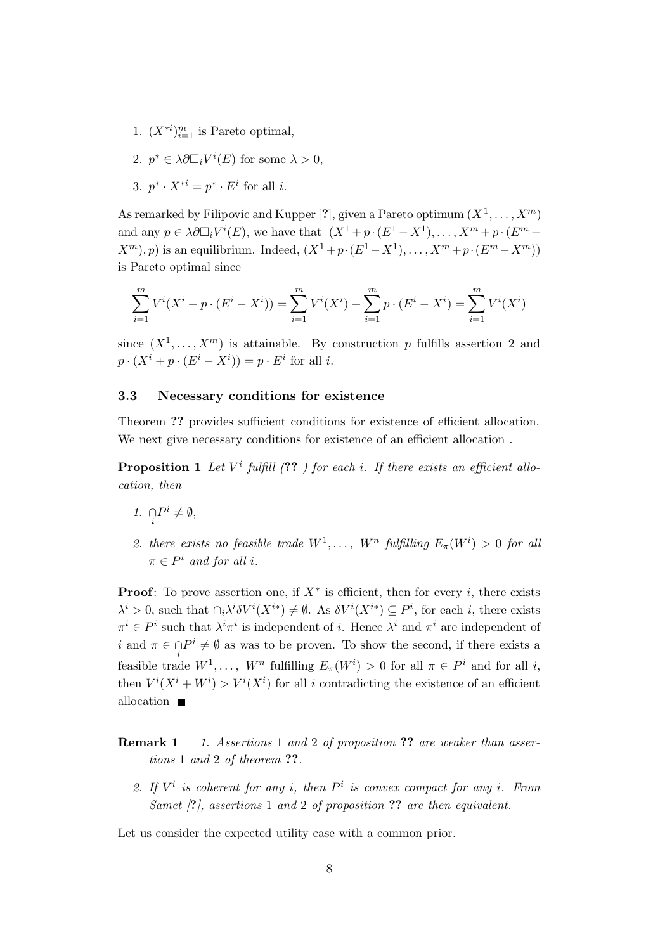- 1.  $(X^{*i})_{i=1}^m$  is Pareto optimal,
- 2.  $p^* \in \lambda \partial \Box_i V^i(E)$  for some  $\lambda > 0$ ,
- 3.  $p^* \cdot X^{*i} = p^* \cdot E^i$  for all *i*.

As remarked by Filipovic and Kupper [?], given a Pareto optimum  $(X^1, \ldots, X^m)$ and any  $p \in \lambda \partial \Box_i V^i(E)$ , we have that  $(X^1 + p \cdot (E^1 - X^1), \dots, X^m + p \cdot (E^m (X^m), p$  is an equilibrium. Indeed,  $(X^1 + p \cdot (E^1 - X^1), \ldots, X^m + p \cdot (E^m - X^m))$ is Pareto optimal since

$$
\sum_{i=1}^{m} V^{i}(X^{i} + p \cdot (E^{i} - X^{i})) = \sum_{i=1}^{m} V^{i}(X^{i}) + \sum_{i=1}^{m} p \cdot (E^{i} - X^{i}) = \sum_{i=1}^{m} V^{i}(X^{i})
$$

since  $(X^1, \ldots, X^m)$  is attainable. By construction p fulfills assertion 2 and  $p \cdot (X^i + p \cdot (E^i - X^i)) = p \cdot E^i$  for all *i*.

### 3.3 Necessary conditions for existence

Theorem ?? provides sufficient conditions for existence of efficient allocation. We next give necessary conditions for existence of an efficient allocation .

**Proposition 1** Let  $V^i$  fulfill  $(??)$  for each i. If there exists an efficient allocation, then

- 1.  $\bigcap_i P^i \neq \emptyset$ ,
- 2. there exists no feasible trade  $W^1, \ldots, W^n$  fulfilling  $E_\pi(W^i) > 0$  for all  $\pi \in P^i$  and for all i.

**Proof:** To prove assertion one, if  $X^*$  is efficient, then for every i, there exists  $\lambda^i > 0$ , such that  $\cap_i \lambda^i \delta V^i(X^{i*}) \neq \emptyset$ . As  $\delta V^i(X^{i*}) \subseteq P^i$ , for each i, there exists  $\pi^i \in P^i$  such that  $\lambda^i \pi^i$  is independent of *i*. Hence  $\lambda^i$  and  $\pi^i$  are independent of i and  $\pi \in \bigcap P^i \neq \emptyset$  as was to be proven. To show the second, if there exists a feasible trade  $W^1, \ldots, W^n$  fulfilling  $E_\pi(W^i) > 0$  for all  $\pi \in P^i$  and for all i, then  $V^{i}(X^{i} + W^{i}) > V^{i}(X^{i})$  for all i contradicting the existence of an efficient allocation

**Remark 1** 1. Assertions 1 and 2 of proposition ?? are weaker than assertions 1 and 2 of theorem ??.

2. If  $V^i$  is coherent for any i, then  $P^i$  is convex compact for any i. From Samet  $\beta$ , assertions 1 and 2 of proposition ?? are then equivalent.

Let us consider the expected utility case with a common prior.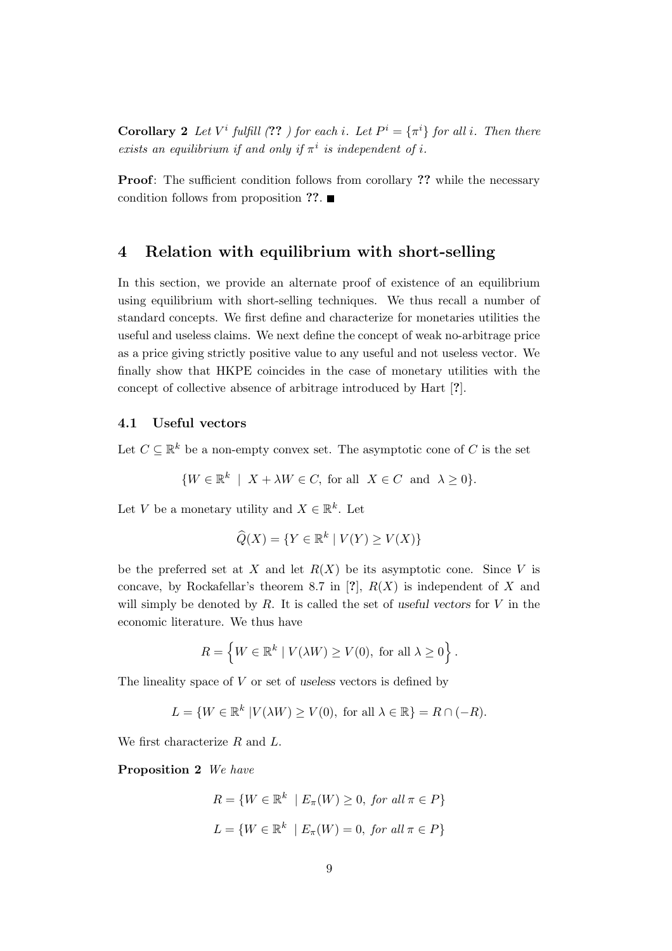**Corollary 2** Let  $V^i$  fulfill (??) for each i. Let  $P^i = {\pi^i}$  for all i. Then there exists an equilibrium if and only if  $\pi^i$  is independent of i.

Proof: The sufficient condition follows from corollary ?? while the necessary condition follows from proposition ??.  $\blacksquare$ 

## 4 Relation with equilibrium with short-selling

In this section, we provide an alternate proof of existence of an equilibrium using equilibrium with short-selling techniques. We thus recall a number of standard concepts. We first define and characterize for monetaries utilities the useful and useless claims. We next define the concept of weak no-arbitrage price as a price giving strictly positive value to any useful and not useless vector. We finally show that HKPE coincides in the case of monetary utilities with the concept of collective absence of arbitrage introduced by Hart [?].

## 4.1 Useful vectors

Let  $C \subseteq \mathbb{R}^k$  be a non-empty convex set. The asymptotic cone of C is the set

$$
\{W \in \mathbb{R}^k \mid X + \lambda W \in C, \text{ for all } X \in C \text{ and } \lambda \ge 0\}.
$$

Let V be a monetary utility and  $X \in \mathbb{R}^k$ . Let

$$
\widehat{Q}(X) = \{ Y \in \mathbb{R}^k \mid V(Y) \ge V(X) \}
$$

be the preferred set at X and let  $R(X)$  be its asymptotic cone. Since V is concave, by Rockafellar's theorem 8.7 in [?],  $R(X)$  is independent of X and will simply be denoted by  $R$ . It is called the set of useful vectors for  $V$  in the economic literature. We thus have

$$
R = \left\{ W \in \mathbb{R}^k \mid V(\lambda W) \ge V(0), \text{ for all } \lambda \ge 0 \right\}.
$$

The lineality space of  $V$  or set of useless vectors is defined by

$$
L = \{ W \in \mathbb{R}^k \mid V(\lambda W) \ge V(0), \text{ for all } \lambda \in \mathbb{R} \} = R \cap (-R).
$$

We first characterize R and L.

Proposition 2 We have

$$
R = \{ W \in \mathbb{R}^k \mid E_{\pi}(W) \ge 0, \text{ for all } \pi \in P \}
$$

$$
L = \{ W \in \mathbb{R}^k \mid E_{\pi}(W) = 0, \text{ for all } \pi \in P \}
$$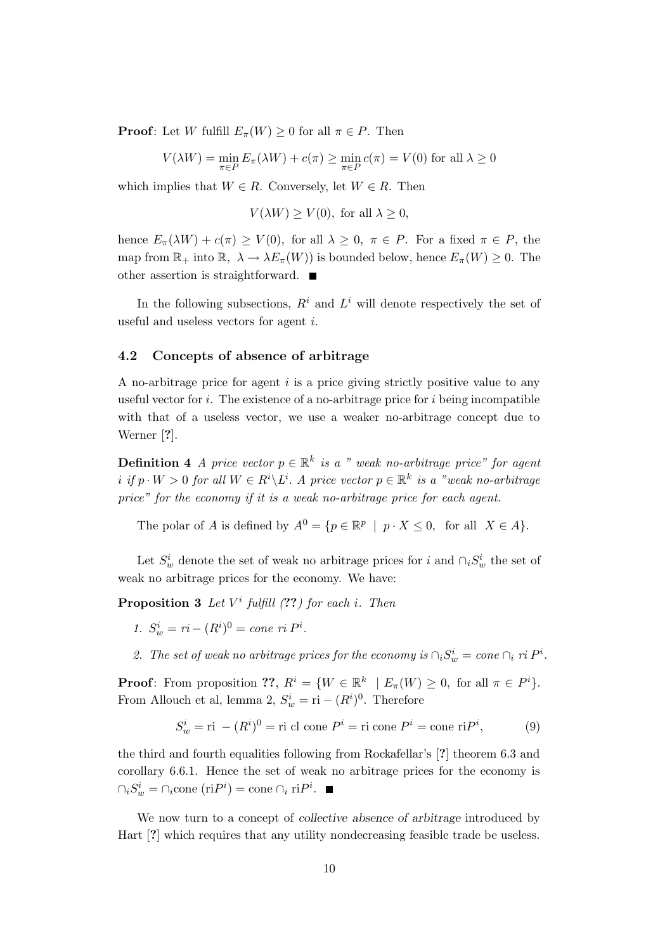**Proof:** Let W fulfill  $E_{\pi}(W) \geq 0$  for all  $\pi \in P$ . Then

$$
V(\lambda W) = \min_{\pi \in P} E_{\pi}(\lambda W) + c(\pi) \ge \min_{\pi \in P} c(\pi) = V(0)
$$
 for all  $\lambda \ge 0$ 

which implies that  $W \in R$ . Conversely, let  $W \in R$ . Then

$$
V(\lambda W) \ge V(0)
$$
, for all  $\lambda \ge 0$ ,

hence  $E_{\pi}(\lambda W) + c(\pi) \ge V(0)$ , for all  $\lambda \ge 0$ ,  $\pi \in P$ . For a fixed  $\pi \in P$ , the map from  $\mathbb{R}_+$  into  $\mathbb{R}, \lambda \to \lambda E_{\pi}(W)$  is bounded below, hence  $E_{\pi}(W) \geq 0$ . The other assertion is straightforward.

In the following subsections,  $R^i$  and  $L^i$  will denote respectively the set of useful and useless vectors for agent i.

#### 4.2 Concepts of absence of arbitrage

A no-arbitrage price for agent  $i$  is a price giving strictly positive value to any useful vector for  $i$ . The existence of a no-arbitrage price for  $i$  being incompatible with that of a useless vector, we use a weaker no-arbitrage concept due to Werner [?].

**Definition 4** A price vector  $p \in \mathbb{R}^k$  is a " weak no-arbitrage price" for agent i if  $p \cdot W > 0$  for all  $W \in R^i \backslash L^i$ . A price vector  $p \in \mathbb{R}^k$  is a "weak no-arbitrage price" for the economy if it is a weak no-arbitrage price for each agent.

The polar of A is defined by  $A^0 = \{p \in \mathbb{R}^p \mid p \cdot X \leq 0, \text{ for all } X \in A\}.$ 

Let  $S_w^i$  denote the set of weak no arbitrage prices for i and  $\cap_i S_w^i$  the set of weak no arbitrage prices for the economy. We have:

**Proposition 3** Let  $V^i$  fulfill  $(??)$  for each i. Then

1.  $S_w^i = ri - (R^i)^0 = cone \; ri \; P^i.$ 

2. The set of weak no arbitrage prices for the economy is  $\bigcap_i S_w^i = \text{cone } \bigcap_i r^i P^i$ .

**Proof:** From proposition ??,  $R^i = \{W \in \mathbb{R}^k \mid E_\pi(W) \geq 0$ , for all  $\pi \in P^i\}.$ From Allouch et al, lemma 2,  $S_w^i = \text{ri} - (R^i)^0$ . Therefore

$$
S_w^i = \text{ri} - (R^i)^0 = \text{ri cl cone } P^i = \text{ri cone } P^i = \text{cone ri } P^i,
$$
 (9)

the third and fourth equalities following from Rockafellar's [?] theorem 6.3 and corollary 6.6.1. Hence the set of weak no arbitrage prices for the economy is  $\bigcap_i S_w^i = \bigcap_i$ cone  $(riP^i) = \text{cone } \bigcap_i riP^i$ .

We now turn to a concept of *collective absence of arbitrage* introduced by Hart [?] which requires that any utility nondecreasing feasible trade be useless.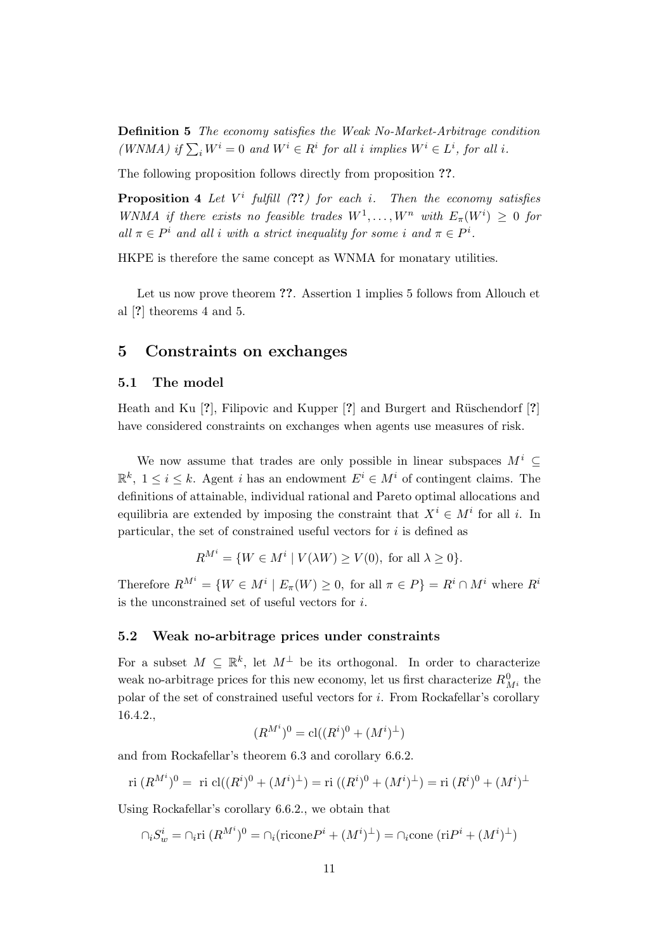Definition 5 The economy satisfies the Weak No-Market-Arbitrage condition (WNMA) if  $\sum_i W^i = 0$  and  $W^i \in R^i$  for all i implies  $W^i \in L^i$ , for all i.

The following proposition follows directly from proposition ??.

**Proposition 4** Let  $V^i$  fulfill  $(??)$  for each i. Then the economy satisfies WNMA if there exists no feasible trades  $W^1, \ldots, W^n$  with  $E_\pi(W^i) \geq 0$  for all  $\pi \in P^i$  and all i with a strict inequality for some i and  $\pi \in P^i$ .

HKPE is therefore the same concept as WNMA for monatary utilities.

Let us now prove theorem ??. Assertion 1 implies 5 follows from Allouch et al [?] theorems 4 and 5.

## 5 Constraints on exchanges

## 5.1 The model

Heath and Ku  $[?]$ , Filipovic and Kupper  $[?]$  and Burgert and Rüschendorf  $[?]$ have considered constraints on exchanges when agents use measures of risk.

We now assume that trades are only possible in linear subspaces  $M^i$  $\mathbb{R}^k$ ,  $1 \leq i \leq k$ . Agent *i* has an endowment  $E^i \in M^i$  of contingent claims. The definitions of attainable, individual rational and Pareto optimal allocations and equilibria are extended by imposing the constraint that  $X^i \in M^i$  for all i. In particular, the set of constrained useful vectors for  $i$  is defined as

$$
R^{M^i} = \{ W \in M^i \mid V(\lambda W) \ge V(0), \text{ for all } \lambda \ge 0 \}.
$$

Therefore  $R^{M^i} = \{W \in M^i \mid E_\pi(W) \geq 0$ , for all  $\pi \in P\} = R^i \cap M^i$  where  $R^i$ is the unconstrained set of useful vectors for i.

#### 5.2 Weak no-arbitrage prices under constraints

For a subset  $M \subseteq \mathbb{R}^k$ , let  $M^{\perp}$  be its orthogonal. In order to characterize weak no-arbitrage prices for this new economy, let us first characterize  $R_{M^i}^0$  the polar of the set of constrained useful vectors for i. From Rockafellar's corollary 16.4.2.,

$$
(\boldsymbol{R}^{M^i})^0=\mathrm{cl}((\boldsymbol{R}^i)^0+(\boldsymbol{M}^i)^\perp)
$$

and from Rockafellar's theorem 6.3 and corollary 6.6.2.

ri
$$
(R^{M^i})^0
$$
 = ri cl $((R^i)^0 + (M^i)^{\perp})$  = ri  $((R^i)^0 + (M^i)^{\perp})$  = ri  $(R^i)^0 + (M^i)^{\perp}$ 

Using Rockafellar's corollary 6.6.2., we obtain that

 $\bigcap_i S_w^i = \bigcap_i \text{ri}\; (R^{M^i})^0 = \bigcap_i (\text{ricone} P^i + (M^i)^{\perp}) = \bigcap_i \text{cone}\; (\text{ri} P^i + (M^i)^{\perp})$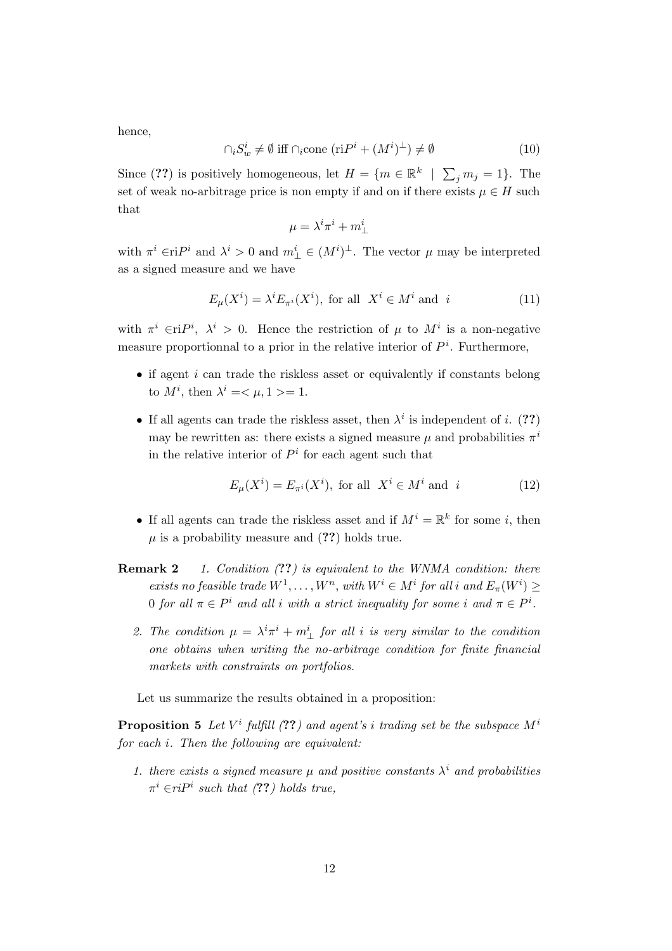hence,

$$
\cap_i S_w^i \neq \emptyset \text{ iff } \cap_i \text{cone } (\text{ri}P^i + (M^i)^{\perp}) \neq \emptyset \tag{10}
$$

Since (??) is positively homogeneous, let  $H = \{m \in \mathbb{R}^k \mid \sum_j m_j = 1\}$ . The set of weak no-arbitrage price is non empty if and on if there exists  $\mu \in H$  such that

$$
\mu=\lambda^i\pi^i+m^i_\perp
$$

with  $\pi^i \in \Pi$ <sup>i</sup> and  $\lambda^i > 0$  and  $m^i_{\perp} \in (M^i)^{\perp}$ . The vector  $\mu$  may be interpreted as a signed measure and we have

$$
E_{\mu}(X^{i}) = \lambda^{i} E_{\pi^{i}}(X^{i}), \text{ for all } X^{i} \in M^{i} \text{ and } i
$$
 (11)

with  $\pi^i \in \text{ri}P^i$ ,  $\lambda^i > 0$ . Hence the restriction of  $\mu$  to  $M^i$  is a non-negative measure proportionnal to a prior in the relative interior of  $P<sup>i</sup>$ . Furthermore,

- $\bullet$  if agent *i* can trade the riskless asset or equivalently if constants belong to  $M^i$ , then  $\lambda^i = \langle \mu, 1 \rangle = 1$ .
- If all agents can trade the riskless asset, then  $\lambda^i$  is independent of i. (??) may be rewritten as: there exists a signed measure  $\mu$  and probabilities  $\pi^i$ in the relative interior of  $P<sup>i</sup>$  for each agent such that

$$
E_{\mu}(X^{i}) = E_{\pi^{i}}(X^{i}), \text{ for all } X^{i} \in M^{i} \text{ and } i
$$
 (12)

- If all agents can trade the riskless asset and if  $M^i = \mathbb{R}^k$  for some *i*, then  $\mu$  is a probability measure and  $(??)$  holds true.
- **Remark 2** 1. Condition (??) is equivalent to the WNMA condition: there exists no feasible trade  $W^1, \ldots, W^n$ , with  $W^i \in M^i$  for all i and  $E_{\pi}(W^i) \geq$ 0 for all  $\pi \in P^i$  and all i with a strict inequality for some i and  $\pi \in P^i$ .
	- 2. The condition  $\mu = \lambda^i \pi^i + m^i_{\perp}$  for all i is very similar to the condition one obtains when writing the no-arbitrage condition for finite financial markets with constraints on portfolios.

Let us summarize the results obtained in a proposition:

**Proposition 5** Let  $V^i$  fulfill  $(??)$  and agent's i trading set be the subspace  $M^i$ for each i. Then the following are equivalent:

1. there exists a signed measure  $\mu$  and positive constants  $\lambda^i$  and probabilities  $\pi^i \in riP^i$  such that (??) holds true,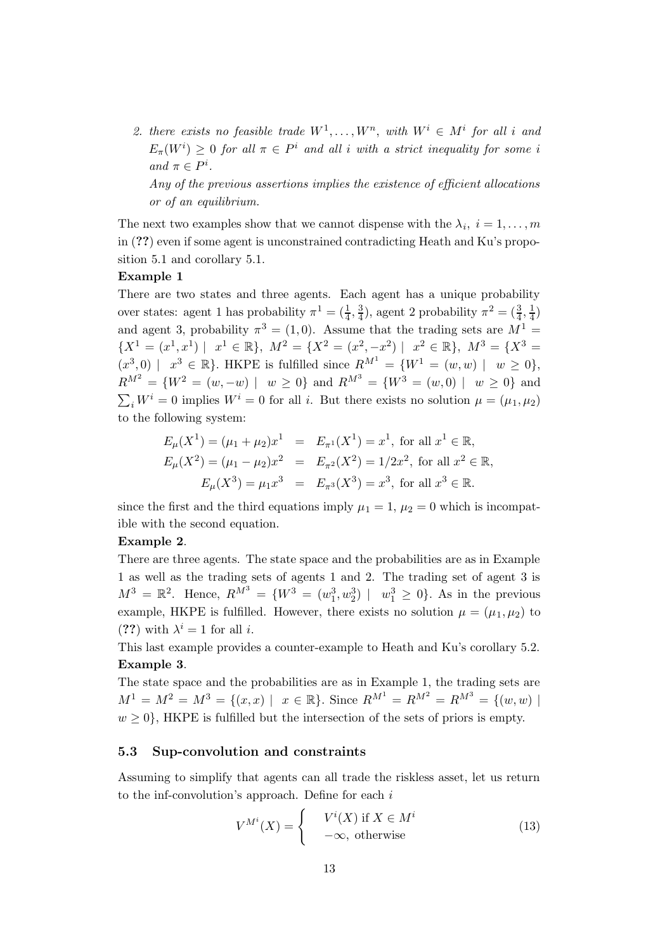2. there exists no feasible trade  $W^1, \ldots, W^n$ , with  $W^i \in M^i$  for all i and  $E_{\pi}(W^{i}) \geq 0$  for all  $\pi \in P^{i}$  and all i with a strict inequality for some i and  $\pi \in P^i$ .

Any of the previous assertions implies the existence of efficient allocations or of an equilibrium.

The next two examples show that we cannot dispense with the  $\lambda_i$ ,  $i = 1, \ldots, m$ in (??) even if some agent is unconstrained contradicting Heath and Ku's proposition 5.1 and corollary 5.1.

## Example 1

There are two states and three agents. Each agent has a unique probability over states: agent 1 has probability  $\pi^1 = \left(\frac{1}{4}\right)$  $\frac{1}{4}$ ,  $\frac{3}{4}$  $(\frac{3}{4})$ , agent 2 probability  $\pi^2 = (\frac{3}{4})$  $\frac{3}{4}, \frac{1}{4}$  $\frac{1}{4})$ and agent 3, probability  $\pi^3 = (1, 0)$ . Assume that the trading sets are  $M^1 =$  $\{X^1 = (x^1, x^1) \mid x^1 \in \mathbb{R}\}, M^2 = \{X^2 = (x^2, -x^2) \mid x^2 \in \mathbb{R}\}, M^3 = \{X^3 =$  $(x^3,0)$  |  $x^3 \in \mathbb{R}$ . HKPE is fulfilled since  $R^{M^1} = \{W^1 = (w,w) \mid w \ge 0\},$  $R^{M^2} = \{W^2 = (w, -w) \mid w \ge 0\}$  and  $R^{M^3} = \{W^3 = (w, 0) \mid w \ge 0\}$  and  $\sum_i W^i = 0$  implies  $W^i = 0$  for all i. But there exists no solution  $\mu = (\mu_1, \mu_2)$ to the following system:

$$
E_{\mu}(X^{1}) = (\mu_{1} + \mu_{2})x^{1} = E_{\pi^{1}}(X^{1}) = x^{1}, \text{ for all } x^{1} \in \mathbb{R},
$$
  
\n
$$
E_{\mu}(X^{2}) = (\mu_{1} - \mu_{2})x^{2} = E_{\pi^{2}}(X^{2}) = 1/2x^{2}, \text{ for all } x^{2} \in \mathbb{R},
$$
  
\n
$$
E_{\mu}(X^{3}) = \mu_{1}x^{3} = E_{\pi^{3}}(X^{3}) = x^{3}, \text{ for all } x^{3} \in \mathbb{R}.
$$

since the first and the third equations imply  $\mu_1 = 1$ ,  $\mu_2 = 0$  which is incompatible with the second equation.

## Example 2.

There are three agents. The state space and the probabilities are as in Example 1 as well as the trading sets of agents 1 and 2. The trading set of agent 3 is  $M^{3} = \mathbb{R}^{2}$ . Hence,  $R^{M^{3}} = \{W^{3} = (w_{1}^{3}, w_{2}^{3}) | w_{1}^{3} \ge 0\}$ . As in the previous example, HKPE is fulfilled. However, there exists no solution  $\mu = (\mu_1, \mu_2)$  to (??) with  $\lambda^i = 1$  for all *i*.

This last example provides a counter-example to Heath and Ku's corollary 5.2. Example 3.

The state space and the probabilities are as in Example 1, the trading sets are  $M^{1} = M^{2} = M^{3} = \{(x, x) \mid x \in \mathbb{R}\}.$  Since  $R^{M^{1}} = R^{M^{2}} = R^{M^{3}} = \{(w, w) \mid w \in \mathbb{R}\}$  $w \geq 0$ , HKPE is fulfilled but the intersection of the sets of priors is empty.

## 5.3 Sup-convolution and constraints

Assuming to simplify that agents can all trade the riskless asset, let us return to the inf-convolution's approach. Define for each  $i$ 

$$
V^{M^i}(X) = \begin{cases} V^i(X) & \text{if } X \in M^i \\ -\infty, & \text{otherwise} \end{cases}
$$
 (13)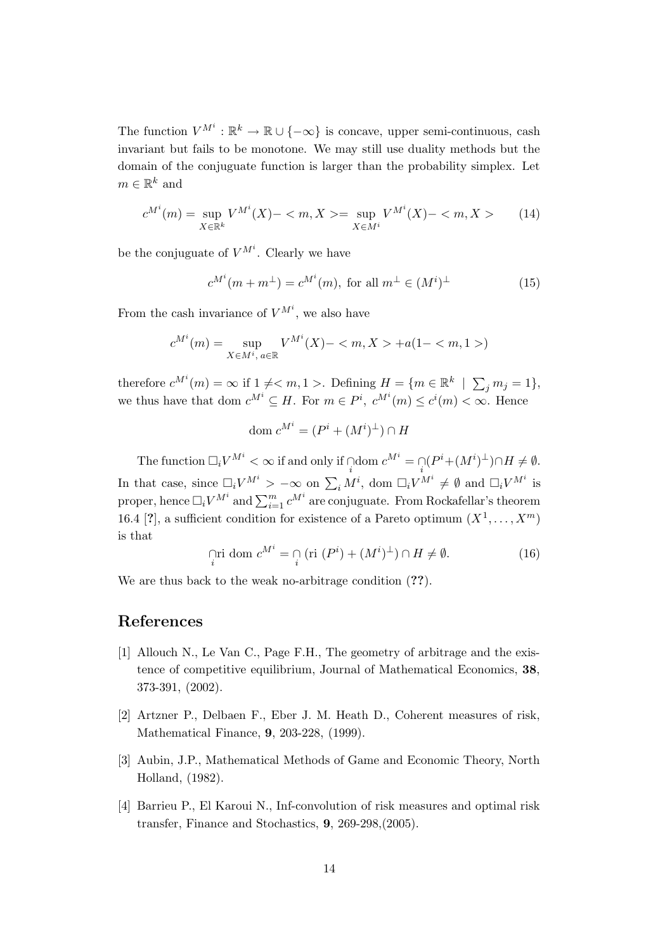The function  $V^{M^i}: \mathbb{R}^k \to \mathbb{R} \cup \{-\infty\}$  is concave, upper semi-continuous, cash invariant but fails to be monotone. We may still use duality methods but the domain of the conjuguate function is larger than the probability simplex. Let  $m \in \mathbb{R}^k$  and

$$
c^{M^i}(m) = \sup_{X \in \mathbb{R}^k} V^{M^i}(X) - \langle m, X \rangle = \sup_{X \in M^i} V^{M^i}(X) - \langle m, X \rangle \tag{14}
$$

be the conjuguate of  $V^{M^i}$ . Clearly we have

$$
c^{M^i}(m+m^\perp) = c^{M^i}(m), \text{ for all } m^\perp \in (M^i)^\perp \tag{15}
$$

From the cash invariance of  $V^{M^i}$ , we also have

$$
c^{M^i}(m) = \sup_{X \in M^i, a \in \mathbb{R}} V^{M^i}(X) - \langle m, X \rangle + a(1 - \langle m, 1 \rangle)
$$

therefore  $c^{M^i}(m) = \infty$  if  $1 \neq m, 1 >$ . Defining  $H = \{m \in \mathbb{R}^k \mid \sum_j m_j = 1\},\$ we thus have that dom  $c^{M^i} \subseteq H$ . For  $m \in P^i$ ,  $c^{M^i}(m) \leq c^i(m) < \infty$ . Hence

$$
\text{dom } c^{M^i} = (P^i + (M^i)^{\perp}) \cap H
$$

The function  $\Box_i V^{M^i} < \infty$  if and only if  $\bigcap_i$  dom  $c^{M^i} = \bigcap_i (P^i + (M^i)^{\perp}) \cap H \neq \emptyset$ . In that case, since  $\Box_i V^{M^i} > -\infty$  on  $\sum_i M^i$ , dom  $\Box_i V^{M^i} \neq \emptyset$  and  $\Box_i V^{M^i}$  is proper, hence  $\Box_i V^{M^i}$  and  $\sum_{i=1}^m c^{M^i}$  are conjuguate. From Rockafellar's theorem 16.4 [?], a sufficient condition for existence of a Pareto optimum  $(X^1, \ldots, X^m)$ is that

$$
\lim_{i} \text{ dom } c^{M^i} = \bigcap_{i} \left( \text{ri } (P^i) + (M^i)^{\perp} \right) \cap H \neq \emptyset. \tag{16}
$$

We are thus back to the weak no-arbitrage condition  $(??)$ .

# References

- [1] Allouch N., Le Van C., Page F.H., The geometry of arbitrage and the existence of competitive equilibrium, Journal of Mathematical Economics, 38, 373-391, (2002).
- [2] Artzner P., Delbaen F., Eber J. M. Heath D., Coherent measures of risk, Mathematical Finance, 9, 203-228, (1999).
- [3] Aubin, J.P., Mathematical Methods of Game and Economic Theory, North Holland, (1982).
- [4] Barrieu P., El Karoui N., Inf-convolution of risk measures and optimal risk transfer, Finance and Stochastics, 9, 269-298,(2005).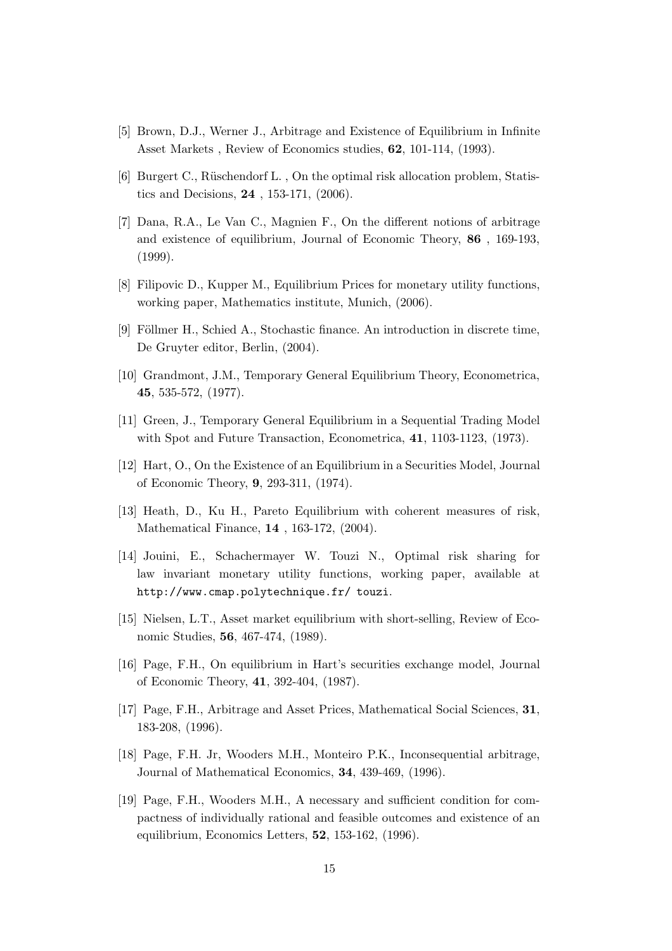- [5] Brown, D.J., Werner J., Arbitrage and Existence of Equilibrium in Infinite Asset Markets , Review of Economics studies, 62, 101-114, (1993).
- [6] Burgert C., Rüschendorf L., On the optimal risk allocation problem, Statistics and Decisions, 24 , 153-171, (2006).
- [7] Dana, R.A., Le Van C., Magnien F., On the different notions of arbitrage and existence of equilibrium, Journal of Economic Theory, 86 , 169-193, (1999).
- [8] Filipovic D., Kupper M., Equilibrium Prices for monetary utility functions, working paper, Mathematics institute, Munich, (2006).
- [9] Föllmer H., Schied A., Stochastic finance. An introduction in discrete time, De Gruyter editor, Berlin, (2004).
- [10] Grandmont, J.M., Temporary General Equilibrium Theory, Econometrica, 45, 535-572, (1977).
- [11] Green, J., Temporary General Equilibrium in a Sequential Trading Model with Spot and Future Transaction, Econometrica, 41, 1103-1123, (1973).
- [12] Hart, O., On the Existence of an Equilibrium in a Securities Model, Journal of Economic Theory, 9, 293-311, (1974).
- [13] Heath, D., Ku H., Pareto Equilibrium with coherent measures of risk, Mathematical Finance, 14 , 163-172, (2004).
- [14] Jouini, E., Schachermayer W. Touzi N., Optimal risk sharing for law invariant monetary utility functions, working paper, available at http://www.cmap.polytechnique.fr/ touzi.
- [15] Nielsen, L.T., Asset market equilibrium with short-selling, Review of Economic Studies, 56, 467-474, (1989).
- [16] Page, F.H., On equilibrium in Hart's securities exchange model, Journal of Economic Theory, 41, 392-404, (1987).
- [17] Page, F.H., Arbitrage and Asset Prices, Mathematical Social Sciences, 31, 183-208, (1996).
- [18] Page, F.H. Jr, Wooders M.H., Monteiro P.K., Inconsequential arbitrage, Journal of Mathematical Economics, 34, 439-469, (1996).
- [19] Page, F.H., Wooders M.H., A necessary and sufficient condition for compactness of individually rational and feasible outcomes and existence of an equilibrium, Economics Letters, 52, 153-162, (1996).